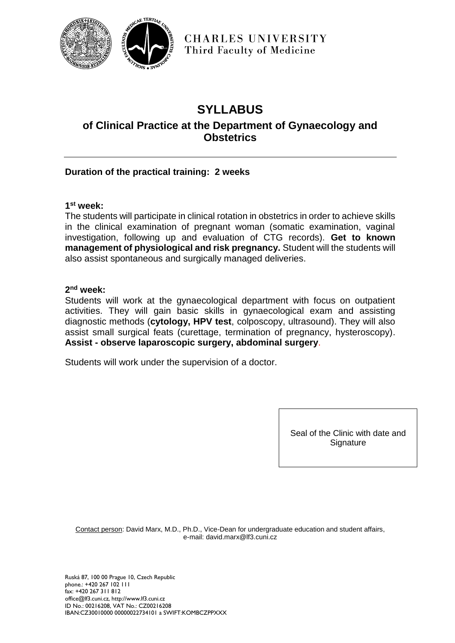

**CHARLES UNIVERSITY** Third Faculty of Medicine

# **SYLLABUS**

# **of Clinical Practice at the Department of Gynaecology and Obstetrics**

# **Duration of the practical training: 2 weeks**

#### **1 st week:**

The students will participate in clinical rotation in obstetrics in order to achieve skills in the clinical examination of pregnant woman (somatic examination, vaginal investigation, following up and evaluation of CTG records). **Get to known management of physiological and risk pregnancy.** Student will the students will also assist spontaneous and surgically managed deliveries.

#### **2 nd week:**

Students will work at the gynaecological department with focus on outpatient activities. They will gain basic skills in gynaecological exam and assisting diagnostic methods (**cytology, HPV test**, colposcopy, ultrasound). They will also assist small surgical feats (curettage, termination of pregnancy, hysteroscopy). **Assist - observe laparoscopic surgery, abdominal surgery**.

Students will work under the supervision of a doctor.

Seal of the Clinic with date and **Signature** 

Contact person: David Marx, M.D., Ph.D., Vice-Dean for undergraduate education and student affairs, e-mail: david.marx@lf3.cuni.cz